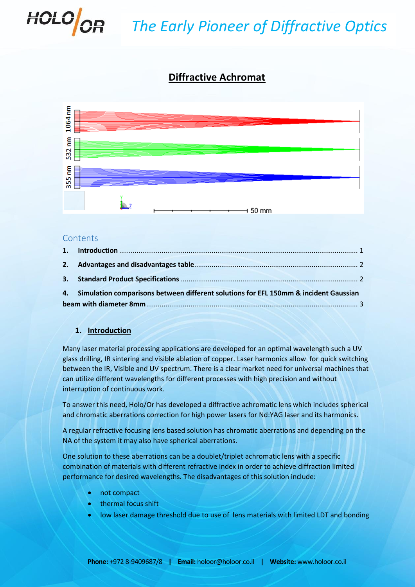

# **Diffractive Achromat**



#### **Contents**

|  | 4. Simulation comparisons between different solutions for EFL 150mm & incident Gaussian |  |  |  |  |  |
|--|-----------------------------------------------------------------------------------------|--|--|--|--|--|
|  |                                                                                         |  |  |  |  |  |
|  |                                                                                         |  |  |  |  |  |

## <span id="page-0-0"></span>**1. Introduction**

Many laser material processing applications are developed for an optimal wavelength such a UV glass drilling, IR sintering and visible ablation of copper. Laser harmonics allow for quick switching between the IR, Visible and UV spectrum. There is a clear market need for universal machines that can utilize different wavelengths for different processes with high precision and without interruption of continuous work.

To answer this need, Holo/Or has developed a diffractive achromatic lens which includes spherical and chromatic aberrations correction for high power lasers for Nd:YAG laser and its harmonics.

A regular refractive focusing lens based solution has chromatic aberrations and depending on the NA of the system it may also have spherical aberrations.

One solution to these aberrations can be a doublet/triplet achromatic lens with a specific combination of materials with different refractive index in order to achieve diffraction limited performance for desired wavelengths. The disadvantages of this solution include:

- not compact
- thermal focus shift
- low laser damage threshold due to use of lens materials with limited LDT and bonding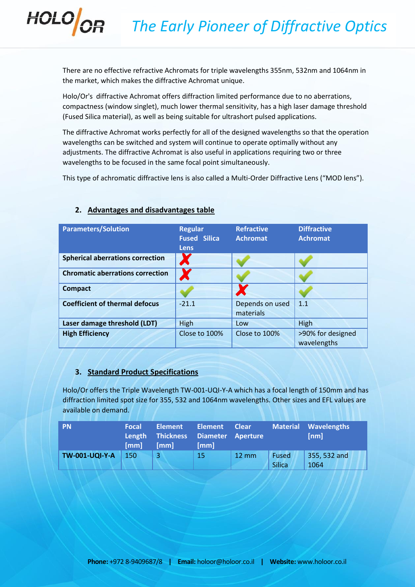There are no effective refractive Achromats for triple wavelengths 355nm, 532nm and 1064nm in the market, which makes the diffractive Achromat unique.

Holo/Or's diffractive Achromat offers diffraction limited performance due to no aberrations, compactness (window singlet), much lower thermal sensitivity, has a high laser damage threshold (Fused Silica material), as well as being suitable for ultrashort pulsed applications.

The diffractive Achromat works perfectly for all of the designed wavelengths so that the operation wavelengths can be switched and system will continue to operate optimally without any adjustments. The diffractive Achromat is also useful in applications requiring two or three wavelengths to be focused in the same focal point simultaneously.

This type of achromatic diffractive lens is also called a Multi-Order Diffractive Lens ("MOD lens").

| <b>Parameters/Solution</b>              | <b>Regular</b><br><b>Fused Silica</b><br>Lens | <b>Refractive</b><br><b>Achromat</b> | <b>Diffractive</b><br><b>Achromat</b> |
|-----------------------------------------|-----------------------------------------------|--------------------------------------|---------------------------------------|
| <b>Spherical aberrations correction</b> | A                                             |                                      |                                       |
| <b>Chromatic aberrations correction</b> |                                               |                                      |                                       |
| <b>Compact</b>                          |                                               |                                      |                                       |
| <b>Coefficient of thermal defocus</b>   | $-21.1$                                       | Depends on used<br>materials         | 1.1                                   |
| Laser damage threshold (LDT)            | High                                          | Low                                  | High                                  |
| <b>High Efficiency</b>                  | Close to 100%                                 | Close to 100%                        | >90% for designed<br>wavelengths      |

## <span id="page-1-0"></span>**2. Advantages and disadvantages table**

HOLOOR

## <span id="page-1-1"></span>**3. Standard Product Specifications**

Holo/Or offers the Triple Wavelength TW-001-UQI-Y-A which has a focal length of 150mm and has diffraction limited spot size for 355, 532 and 1064nm wavelengths. Other sizes and EFL values are available on demand.

| <b>PN</b>             | Focal<br>[mm] | <b>Element</b><br>Length Thickness Diameter Aperture<br>[mm] | <b>Element</b><br>[mm] | <b>Clear</b>    |                        | <b>Material Wavelengths</b><br>[nm] |
|-----------------------|---------------|--------------------------------------------------------------|------------------------|-----------------|------------------------|-------------------------------------|
| <b>TW-001-UQI-Y-A</b> | <b>150</b>    |                                                              | 15                     | $12 \text{ mm}$ | Fused<br><b>Silica</b> | 355, 532 and<br>1064                |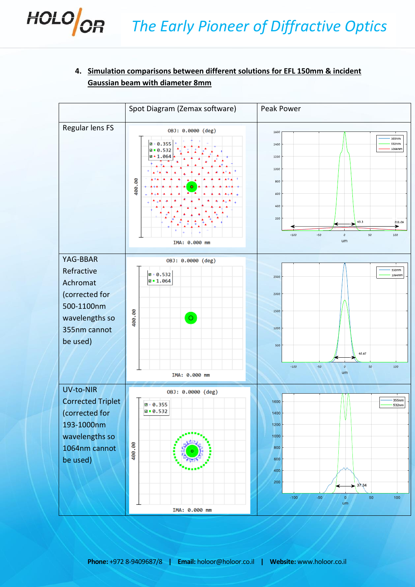# <span id="page-2-0"></span>**4. Simulation comparisons between different solutions for EFL 150mm & incident Gaussian beam with diameter 8mm**